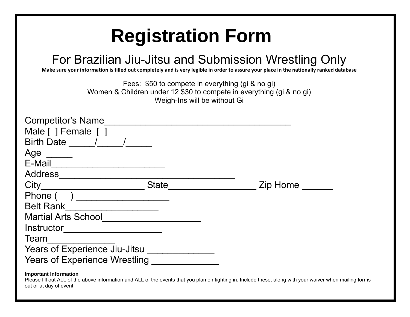## **Registration Form**

## For Brazilian Jiu-Jitsu and Submission Wrestling Only

Make sure your information is filled out completely and is very legible in order to assure your place in the nationally ranked database

Fees: \$50 to compete in everything (gi & no gi) Women & Children under 12 \$30 to compete in everything (gi & no gi) Weigh-Ins will be without Gi

| <b>Competitor's Name</b><br>Male [ ] Female [ ]<br>Birth Date / |              |          |
|-----------------------------------------------------------------|--------------|----------|
| Age                                                             |              |          |
| E-Mail                                                          |              |          |
| <b>Address</b>                                                  |              |          |
| City                                                            | <b>State</b> | Zip Home |
| Phone (                                                         |              |          |
| <b>Belt Rank</b>                                                |              |          |
| <b>Martial Arts School</b>                                      |              |          |
| Instructor                                                      |              |          |
| Team                                                            |              |          |
| Years of Experience Jiu-Jitsu                                   |              |          |
| <b>Years of Experience Wrestling</b>                            |              |          |
| <b>Important Information</b>                                    |              |          |

Please fill out ALL of the above information and ALL of the events that you plan on fighting in. Include these, along with your waiver when mailing forms out or at day of event.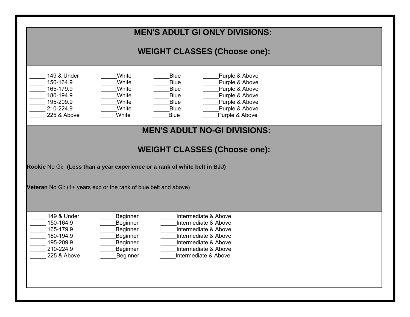| <b>MEN'S ADULT GI ONLY DIVISIONS:</b>                                                                                                                                                                                                                                                                                                                                                             |  |  |
|---------------------------------------------------------------------------------------------------------------------------------------------------------------------------------------------------------------------------------------------------------------------------------------------------------------------------------------------------------------------------------------------------|--|--|
| <b>WEIGHT CLASSES (Choose one):</b>                                                                                                                                                                                                                                                                                                                                                               |  |  |
| 149 & Under<br>White<br><b>Blue</b><br>Purple & Above<br>150-164.9<br>White<br><b>Blue</b><br>Purple & Above<br>165-179.9<br>White<br><b>Blue</b><br>Purple & Above<br>180-194.9<br><b>Blue</b><br>Purple & Above<br>White<br>195-209.9<br><b>Blue</b><br>Purple & Above<br>White<br>210-224.9<br><b>Blue</b><br>Purple & Above<br>White<br>225 & Above<br>Purple & Above<br>White<br><b>Blue</b> |  |  |
| <b>MEN'S ADULT NO-GI DIVISIONS:</b>                                                                                                                                                                                                                                                                                                                                                               |  |  |
| <b>WEIGHT CLASSES (Choose one):</b>                                                                                                                                                                                                                                                                                                                                                               |  |  |
| Rookie No Gi: (Less than a year experience or a rank of white belt in BJJ)                                                                                                                                                                                                                                                                                                                        |  |  |
|                                                                                                                                                                                                                                                                                                                                                                                                   |  |  |
| Veteran No Gi: (1+ years exp or the rank of blue belt and above)                                                                                                                                                                                                                                                                                                                                  |  |  |
| 149 & Under<br>Intermediate & Above<br>Beginner<br>Beginner<br>150-164.9<br>Intermediate & Above<br>165-179.9<br>Beginner<br>Intermediate & Above<br>Beginner<br>180-194.9<br>Intermediate & Above<br>195-209.9<br>Beginner<br>Intermediate & Above<br>210-224.9<br>Beginner<br>Intermediate & Above<br>225 & Above<br>Beginner<br>Intermediate & Above                                           |  |  |
|                                                                                                                                                                                                                                                                                                                                                                                                   |  |  |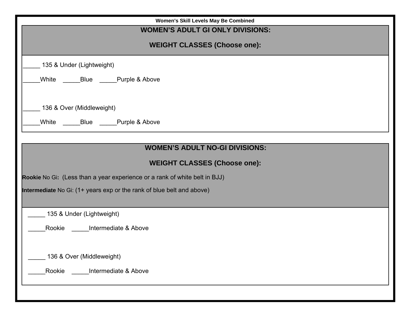| Women's Skill Levels May Be Combined                                       |  |  |
|----------------------------------------------------------------------------|--|--|
| <b>WOMEN'S ADULT GI ONLY DIVISIONS:</b>                                    |  |  |
| <b>WEIGHT CLASSES (Choose one):</b>                                        |  |  |
| 135 & Under (Lightweight)                                                  |  |  |
| ______Blue ______Purple & Above<br>White                                   |  |  |
| 136 & Over (Middleweight)                                                  |  |  |
| White ______Blue _____Purple & Above                                       |  |  |
|                                                                            |  |  |
| <b>WOMEN'S ADULT NO-GI DIVISIONS:</b>                                      |  |  |
| <b>WEIGHT CLASSES (Choose one):</b>                                        |  |  |
| Rookie No Gi: (Less than a year experience or a rank of white belt in BJJ) |  |  |
| Intermediate No Gi: (1+ years exp or the rank of blue belt and above)      |  |  |
|                                                                            |  |  |
| 135 & Under (Lightweight)                                                  |  |  |
| Rookie<br>Intermediate & Above                                             |  |  |
|                                                                            |  |  |
| 136 & Over (Middleweight)                                                  |  |  |
| Rookie<br>Intermediate & Above                                             |  |  |
|                                                                            |  |  |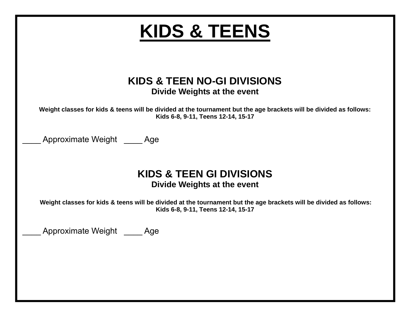| <b>KIDS &amp; TEENS</b>                                                                                                                                  |
|----------------------------------------------------------------------------------------------------------------------------------------------------------|
|                                                                                                                                                          |
| KIDS & TEEN NO-GI DIVISIONS<br>Divide Weights at the event                                                                                               |
| Weight classes for kids & teens will be divided at the tournament but the age brackets will be divided as follows:<br>Kids 6-8, 9-11, Teens 12-14, 15-17 |
| Approximate Weight Age                                                                                                                                   |
| <b>KIDS &amp; TEEN GI DIVISIONS</b><br>Divide Weights at the event                                                                                       |
| Weight classes for kids & teens will be divided at the tournament but the age brackets will be divided as follows:<br>Kids 6-8, 9-11, Teens 12-14, 15-17 |
| Approximate Weight Age                                                                                                                                   |
|                                                                                                                                                          |
|                                                                                                                                                          |